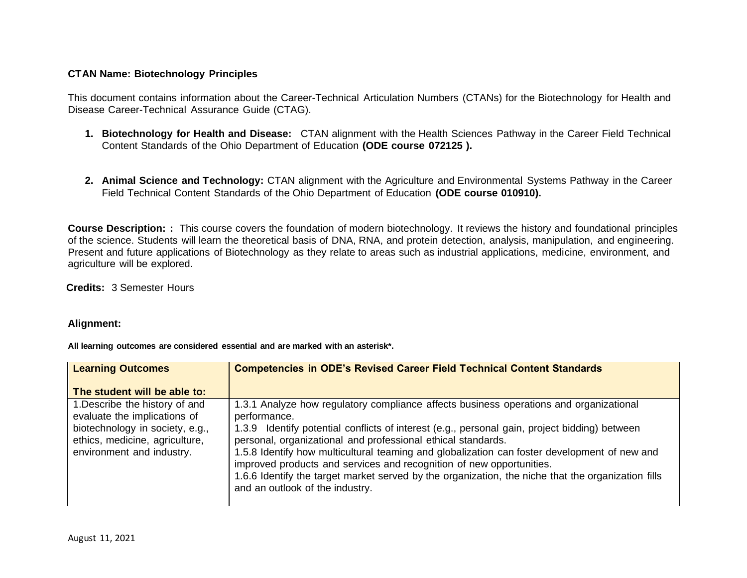## **CTAN Name: Biotechnology Principles**

This document contains information about the Career-Technical Articulation Numbers (CTANs) for the Biotechnology for Health and Disease Career-Technical Assurance Guide (CTAG).

- **1. Biotechnology for Health and Disease:** CTAN alignment with the Health Sciences Pathway in the Career Field Technical Content Standards of the Ohio Department of Education **(ODE course 072125 ).**
- **2. Animal Science and Technology:** CTAN alignment with the Agriculture and Environmental Systems Pathway in the Career Field Technical Content Standards of the Ohio Department of Education **(ODE course 010910).**

**Course Description: :** This course covers the foundation of modern biotechnology. It reviews the history and foundational principles of the science. Students will learn the theoretical basis of DNA, RNA, and protein detection, analysis, manipulation, and engineering. Present and future applications of Biotechnology as they relate to areas such as industrial applications, medicine, environment, and agriculture will be explored.

**Credits:** 3 Semester Hours

## **Alignment:**

**All learning outcomes are considered essential and are marked with an asterisk\*.**

| <b>Learning Outcomes</b>                                                                                                                                         | <b>Competencies in ODE's Revised Career Field Technical Content Standards</b>                                                                                                                                                                                                                                                                                                                                                                                                                                                                                                            |
|------------------------------------------------------------------------------------------------------------------------------------------------------------------|------------------------------------------------------------------------------------------------------------------------------------------------------------------------------------------------------------------------------------------------------------------------------------------------------------------------------------------------------------------------------------------------------------------------------------------------------------------------------------------------------------------------------------------------------------------------------------------|
| The student will be able to:                                                                                                                                     |                                                                                                                                                                                                                                                                                                                                                                                                                                                                                                                                                                                          |
| 1. Describe the history of and<br>evaluate the implications of<br>biotechnology in society, e.g.,<br>ethics, medicine, agriculture,<br>environment and industry. | 1.3.1 Analyze how regulatory compliance affects business operations and organizational<br>performance.<br>1.3.9 Identify potential conflicts of interest (e.g., personal gain, project bidding) between<br>personal, organizational and professional ethical standards.<br>1.5.8 Identify how multicultural teaming and globalization can foster development of new and<br>improved products and services and recognition of new opportunities.<br>1.6.6 Identify the target market served by the organization, the niche that the organization fills<br>and an outlook of the industry. |